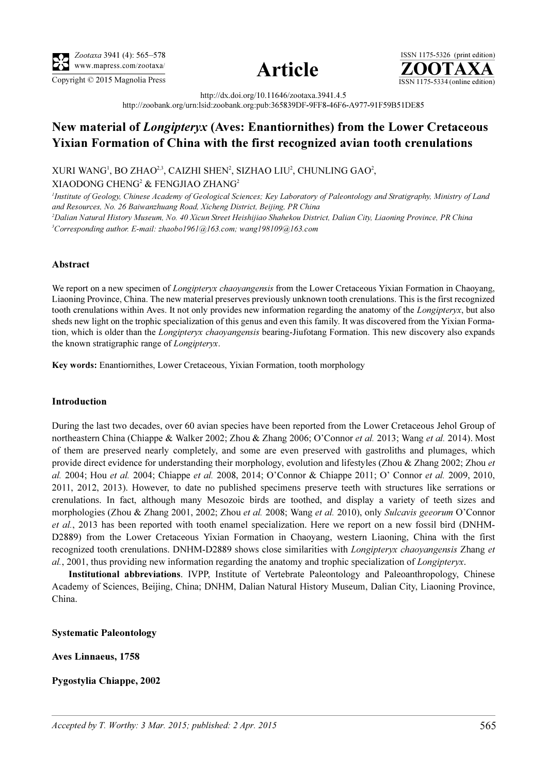





http://dx.doi.org/10.11646/zootaxa.3941.4.5 http://zoobank.org/urn:lsid:zoobank.org:pub:365839DF-9FF8-46F6-A977-91F59B51DE85

# New material of Longipteryx (Aves: Enantiornithes) from the Lower Cretaceous Yixian Formation of China with the first recognized avian tooth crenulations

XURI WANG<sup>1</sup>, BO ZHAO<sup>2,3</sup>, CAIZHI SHEN<sup>2</sup>, SIZHAO LIU<sup>2</sup>, CHUNLING GAO<sup>2</sup>, XIAODONG CHENG<sup>2</sup> & FENGJIAO ZHANG<sup>2</sup>

<sup>1</sup>Institute of Geology, Chinese Academy of Geological Sciences; Key Laboratory of Paleontology and Stratigraphy, Ministry of Land and Resources, No. 26 Baiwanzhuang Road, Xicheng District, Beijing, PR China 2 Dalian Natural History Museum, No. 40 Xicun Street Heishijiao Shahekou District, Dalian City, Liaoning Province, PR China

3 Corresponding author. E-mail: zhaobo1961@163.com; wang198109@163.com

## Abstract

We report on a new specimen of *Longipteryx chaoyangensis* from the Lower Cretaceous Yixian Formation in Chaoyang, Liaoning Province, China. The new material preserves previously unknown tooth crenulations. This is the first recognized tooth crenulations within Aves. It not only provides new information regarding the anatomy of the Longipteryx, but also sheds new light on the trophic specialization of this genus and even this family. It was discovered from the Yixian Formation, which is older than the Longipteryx chaoyangensis bearing-Jiufotang Formation. This new discovery also expands the known stratigraphic range of Longipteryx.

Key words: Enantiornithes, Lower Cretaceous, Yixian Formation, tooth morphology

## Introduction

During the last two decades, over 60 avian species have been reported from the Lower Cretaceous Jehol Group of northeastern China (Chiappe & Walker 2002; Zhou & Zhang 2006; O'Connor et al. 2013; Wang et al. 2014). Most of them are preserved nearly completely, and some are even preserved with gastroliths and plumages, which provide direct evidence for understanding their morphology, evolution and lifestyles (Zhou & Zhang 2002; Zhou et al. 2004; Hou et al. 2004; Chiappe et al. 2008, 2014; O'Connor & Chiappe 2011; O' Connor et al. 2009, 2010, 2011, 2012, 2013). However, to date no published specimens preserve teeth with structures like serrations or crenulations. In fact, although many Mesozoic birds are toothed, and display a variety of teeth sizes and morphologies (Zhou & Zhang 2001, 2002; Zhou *et al.* 2008; Wang *et al.* 2010), only Sulcavis geeorum O'Connor et al., 2013 has been reported with tooth enamel specialization. Here we report on a new fossil bird (DNHM-D2889) from the Lower Cretaceous Yixian Formation in Chaoyang, western Liaoning, China with the first recognized tooth crenulations. DNHM-D2889 shows close similarities with Longipteryx chaoyangensis Zhang et al., 2001, thus providing new information regarding the anatomy and trophic specialization of Longipteryx.

Institutional abbreviations. IVPP, Institute of Vertebrate Paleontology and Paleoanthropology, Chinese Academy of Sciences, Beijing, China; DNHM, Dalian Natural History Museum, Dalian City, Liaoning Province, China.

Systematic Paleontology

Aves Linnaeus, 1758

## Pygostylia Chiappe, 2002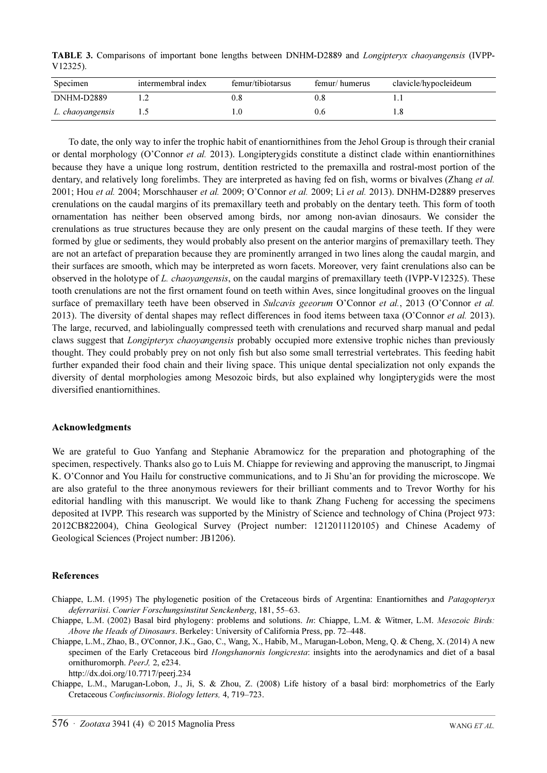TABLE 3. Comparisons of important bone lengths between DNHM-D2889 and Longipteryx chaoyangensis (IVPP-V12325).

| Specimen         | intermembral index | femur/tibiotarsus | femur/humerus | clavicle/hypocleideum |
|------------------|--------------------|-------------------|---------------|-----------------------|
| DNHM-D2889       |                    | J.8               |               |                       |
| L. chaoyangensis |                    |                   |               |                       |

To date, the only way to infer the trophic habit of enantiornithines from the Jehol Group is through their cranial or dental morphology (O'Connor et al. 2013). Longiptery gids constitute a distinct clade within enantiornithines because they have a unique long rostrum, dentition restricted to the premaxilla and rostral-most portion of the dentary, and relatively long forelimbs. They are interpreted as having fed on fish, worms or bivalves (Zhang et al. 2001; Hou et al. 2004; Morschhauser et al. 2009; O'Connor et al. 2009; Li et al. 2013). DNHM-D2889 preserves crenulations on the caudal margins of its premaxillary teeth and probably on the dentary teeth. This form of tooth ornamentation has neither been observed among birds, nor among non-avian dinosaurs. We consider the crenulations as true structures because they are only present on the caudal margins of these teeth. If they were formed by glue or sediments, they would probably also present on the anterior margins of premaxillary teeth. They are not an artefact of preparation because they are prominently arranged in two lines along the caudal margin, and their surfaces are smooth, which may be interpreted as worn facets. Moreover, very faint crenulations also can be observed in the holotype of L. *chaoyangensis*, on the caudal margins of premaxillary teeth (IVPP-V12325). These tooth crenulations are not the first ornament found on teeth within Aves, since longitudinal grooves on the lingual surface of premaxillary teeth have been observed in Sulcavis geeorum O'Connor et al., 2013 (O'Connor et al. 2013). The diversity of dental shapes may reflect differences in food items between taxa (O'Connor et al. 2013). The large, recurved, and labiolingually compressed teeth with crenulations and recurved sharp manual and pedal claws suggest that Longipteryx chaoyangensis probably occupied more extensive trophic niches than previously thought. They could probably prey on not only fish but also some small terrestrial vertebrates. This feeding habit further expanded their food chain and their living space. This unique dental specialization not only expands the diversity of dental morphologies among Mesozoic birds, but also explained why longipterygids were the most diversified enantiornithines.

### Acknowledgments

We are grateful to Guo Yanfang and Stephanie Abramowicz for the preparation and photographing of the specimen, respectively. Thanks also go to Luis M. Chiappe for reviewing and approving the manuscript, to Jingmai K. O'Connor and You Hailu for constructive communications, and to Ji Shu'an for providing the microscope. We are also grateful to the three anonymous reviewers for their brilliant comments and to Trevor Worthy for his editorial handling with this manuscript. We would like to thank Zhang Fucheng for accessing the specimens deposited at IVPP. This research was supported by the Ministry of Science and technology of China (Project 973: 2012CB822004), China Geological Survey (Project number: 1212011120105) and Chinese Academy of Geological Sciences (Project number: JB1206).

#### References

- Chiappe, L.M. (1995) The phylogenetic position of the Cretaceous birds of Argentina: Enantiornithes and Patagopteryx deferrariisi. Courier Forschungsinstitut Senckenberg, 181, 55–63.
- Chiappe, L.M. (2002) Basal bird phylogeny: problems and solutions. In: Chiappe, L.M. & Witmer, L.M. Mesozoic Birds: Above the Heads of Dinosaurs. Berkeley: University of California Press, pp. 72–448.
- Chiappe, L.M., Zhao, B., O'Connor, J.K., Gao, C., Wang, X., Habib, M., Marugan-Lobon, Meng, Q. & Cheng, X. (2014) A new specimen of the Early Cretaceous bird Hongshanornis longicresta: insights into the aerodynamics and diet of a basal ornithuromorph. PeerJ, 2, e234.

http://dx.doi.org/10.7717/peerj.234

Chiappe, L.M., Marugan-Lobon, J., Ji, S. & Zhou, Z. (2008) Life history of a basal bird: morphometrics of the Early Cretaceous Confuciusornis. Biology letters, 4, 719–723.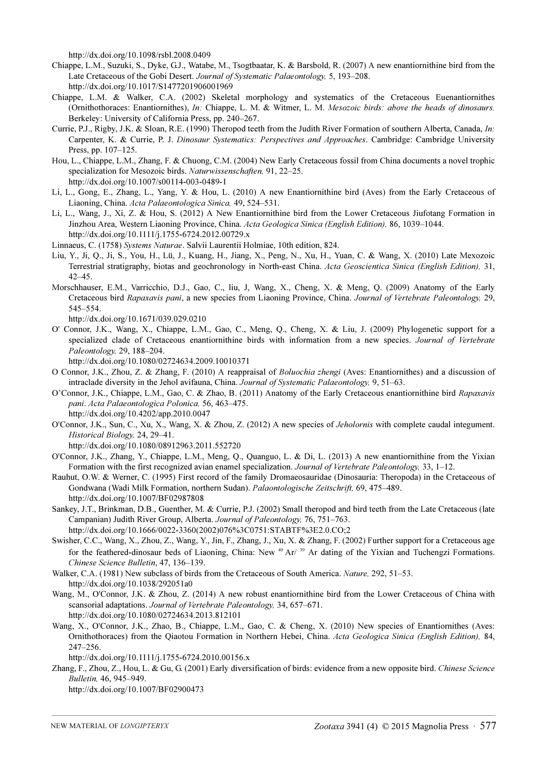http://dx.doi.org/10.1098/rsbl.2008.0409

- Chiappe, L.M., Suzuki, S., Dyke, G.J., Watabe, M., Tsogtbaatar, K. & Barsbold, R. (2007) A new enantiornithine bird from the Late Cretaceous of the Gobi Desert. Journal of Systematic Palaeontology, 5, 193–208. http://dx.doi.org/10.1017/S1477201906001969
- Chiappe, L.M. & Walker, C.A. (2002) Skeletal morphology and systematics of the Cretaceous Euenantiornithes (Ornithothoraces: Enantiornithes), In: Chiappe, L. M. & Witmer, L. M. Mesozoic birds: above the heads of dinosaurs. Berkeley: University of California Press, pp. 240–267.
- Currie, P.J., Rigby, J.K. & Sloan, R.E. (1990) Theropod teeth from the Judith River Formation of southern Alberta, Canada, In: Carpenter, K. & Currie, P. J. Dinosaur Systematics: Perspectives and Approaches. Cambridge: Cambridge University Press, pp. 107–125.
- Hou, L., Chiappe, L.M., Zhang, F. & Chuong, C.M. (2004) New Early Cretaceous fossil from China documents a novel trophic specialization for Mesozoic birds. Naturwissenschaften, 91, 22–25. http://dx.doi.org/10.1007/s00114-003-0489-1
- Li, L., Gong, E., Zhang, L., Yang, Y. & Hou, L. (2010) A new Enantiornithine bird (Aves) from the Early Cretaceous of Liaoning, China. Acta Palaeontologica Sinica, 49, 524–531.
- Li, L., Wang, J., Xi, Z. & Hou, S. (2012) A New Enantiornithine bird from the Lower Cretaceous Jiufotang Formation in Jinzhou Area, Western Liaoning Province, China. Acta Geologica Sinica (English Edition), 86, 1039–1044. http://dx.doi.org/10.1111/j.1755-6724.2012.00729.x
- Linnaeus, C. (1758) Systems Naturae. Salvii Laurentii Holmiae, 10th edition, 824.
- Liu, Y., Ji, Q., Ji, S., You, H., Lü, J., Kuang, H., Jiang, X., Peng, N., Xu, H., Yuan, C. & Wang, X. (2010) Late Mexozoic Terrestrial stratigraphy, biotas and geochronology in North-east China. Acta Geoscientica Sinica (English Edition), 31, 42–45.
- Morschhauser, E.M., Varricchio, D.J., Gao, C., liu, J, Wang, X., Cheng, X. & Meng, Q. (2009) Anatomy of the Early Cretaceous bird Rapaxavis pani, a new species from Liaoning Province, China. Journal of Vertebrate Paleontology, 29, 545–554.

http://dx.doi.org/10.1671/039.029.0210

- O' Connor, J.K., Wang, X., Chiappe, L.M., Gao, C., Meng, Q., Cheng, X. & Liu, J. (2009) Phylogenetic support for a specialized clade of Cretaceous enantiornithine birds with information from a new species. Journal of Vertebrate Paleontology, 29, 188–204.
	- http://dx.doi.org/10.1080/02724634.2009.10010371
- O Connor, J.K., Zhou, Z. & Zhang, F. (2010) A reappraisal of Boluochia zhengi (Aves: Enantiornithes) and a discussion of intraclade diversity in the Jehol avifauna, China. Journal of Systematic Palaeontology, 9, 51–63.
- O'Connor, J.K., Chiappe, L.M., Gao, C. & Zhao, B. (2011) Anatomy of the Early Cretaceous enantiornithine bird Rapaxavis pani. Acta Palaeontologica Polonica, 56, 463–475. http://dx.doi.org/10.4202/app.2010.0047
- O'Connor, J.K., Sun, C., Xu, X., Wang, X. & Zhou, Z. (2012) A new species of Jeholornis with complete caudal integument. Historical Biology, 24, 29–41.

http://dx.doi.org/10.1080/08912963.2011.552720

- O'Connor, J.K., Zhang, Y., Chiappe, L.M., Meng, Q., Quanguo, L. & Di, L. (2013) A new enantiornithine from the Yixian Formation with the first recognized avian enamel specialization. Journal of Vertebrate Paleontology, 33, 1–12.
- Rauhut, O.W. & Werner, C. (1995) First record of the family Dromaeosauridae (Dinosauria: Theropoda) in the Cretaceous of Gondwana (Wadi Milk Formation, northern Sudan). Palaontologische Zeitschrift, 69, 475–489. http://dx.doi.org/10.1007/BF02987808
- Sankey, J.T., Brinkman, D.B., Guenther, M. & Currie, P.J. (2002) Small theropod and bird teeth from the Late Cretaceous (late Campanian) Judith River Group, Alberta. Journal of Paleontology, [76, 751–763.](http://dx.doi.org/10.1666/0022-3360(2002)076%3C0751:STABTF%3E2.0.CO;2) [http://dx.doi.org/10.1666/0022-3360\(2002\)076%3C0751:STABTF%3E2.0.CO;2](http://dx.doi.org/10.1666/0022-3360(2002)076%3C0751:STABTF%3E2.0.CO;2)
- Swisher, C.C., Wang, X., Zhou, Z., Wang, Y., Jin, F., Zhang, J., Xu, X. & Zhang, F. (2002) Further support for a Cretaceous age for the feathered-dinosaur beds of Liaoning, China: New  $40$  Ar/  $39$  Ar dating of the Yixian and Tuchengzi Formations. Chinese Science Bulletin, 47, 136–139.

Walker, C.A. (1981) New subclass of birds from the Cretaceous of South America. Nature, 292, 51–53. http://dx.doi.org/10.1038/292051a0

- Wang, M., O'Connor, J.K. & Zhou, Z. (2014) A new robust enantiornithine bird from the Lower Cretaceous of China with scansorial adaptations. Journal of Vertebrate Paleontology, 34, 657–671. http://dx.doi.org/10.1080/02724634.2013.812101
- Wang, X., O'Connor, J.K., Zhao, B., Chiappe, L.M., Gao, C. & Cheng, X. (2010) New species of Enantiornithes (Aves: Ornithothoraces) from the Qiaotou Formation in Northern Hebei, China. Acta Geologica Sinica (English Edition), 84, 247–256.

http://dx.doi.org/10.1111/j.1755-6724.2010.00156.x

Zhang, F., Zhou, Z., Hou, L. & Gu, G. (2001) Early diversification of birds: evidence from a new opposite bird. Chinese Science Bulletin, 46, 945–949.

http://dx.doi.org/10.1007/BF02900473